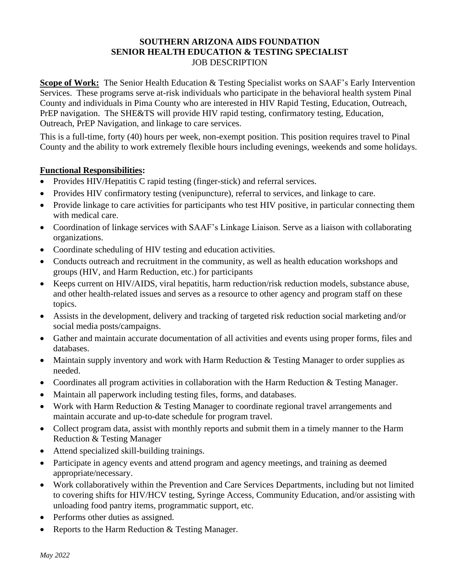## **SOUTHERN ARIZONA AIDS FOUNDATION SENIOR HEALTH EDUCATION & TESTING SPECIALIST** JOB DESCRIPTION

**Scope of Work:** The Senior Health Education & Testing Specialist works on SAAF's Early Intervention Services. These programs serve at-risk individuals who participate in the behavioral health system Pinal County and individuals in Pima County who are interested in HIV Rapid Testing, Education, Outreach, PrEP navigation. The SHE&TS will provide HIV rapid testing, confirmatory testing, Education, Outreach, PrEP Navigation, and linkage to care services.

This is a full-time, forty (40) hours per week, non-exempt position. This position requires travel to Pinal County and the ability to work extremely flexible hours including evenings, weekends and some holidays.

## **Functional Responsibilities:**

- Provides HIV/Hepatitis C rapid testing (finger-stick) and referral services.
- Provides HIV confirmatory testing (venipuncture), referral to services, and linkage to care.
- Provide linkage to care activities for participants who test HIV positive, in particular connecting them with medical care.
- Coordination of linkage services with SAAF's Linkage Liaison. Serve as a liaison with collaborating organizations.
- Coordinate scheduling of HIV testing and education activities.
- Conducts outreach and recruitment in the community, as well as health education workshops and groups (HIV, and Harm Reduction, etc.) for participants
- Keeps current on HIV/AIDS, viral hepatitis, harm reduction/risk reduction models, substance abuse, and other health-related issues and serves as a resource to other agency and program staff on these topics.
- Assists in the development, delivery and tracking of targeted risk reduction social marketing and/or social media posts/campaigns.
- Gather and maintain accurate documentation of all activities and events using proper forms, files and databases.
- Maintain supply inventory and work with Harm Reduction & Testing Manager to order supplies as needed.
- Coordinates all program activities in collaboration with the Harm Reduction & Testing Manager.
- Maintain all paperwork including testing files, forms, and databases.
- Work with Harm Reduction & Testing Manager to coordinate regional travel arrangements and maintain accurate and up-to-date schedule for program travel.
- Collect program data, assist with monthly reports and submit them in a timely manner to the Harm Reduction & Testing Manager
- Attend specialized skill-building trainings.
- Participate in agency events and attend program and agency meetings, and training as deemed appropriate/necessary.
- Work collaboratively within the Prevention and Care Services Departments, including but not limited to covering shifts for HIV/HCV testing, Syringe Access, Community Education, and/or assisting with unloading food pantry items, programmatic support, etc.
- Performs other duties as assigned.
- Reports to the Harm Reduction & Testing Manager.